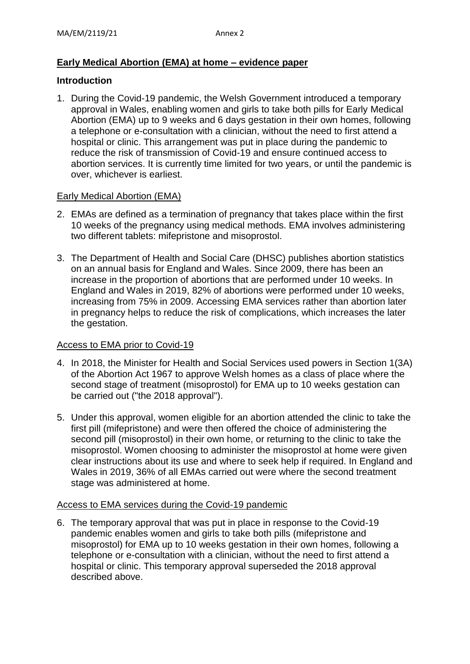# **Early Medical Abortion (EMA) at home – evidence paper**

### **Introduction**

1. During the Covid-19 pandemic, the Welsh Government introduced a temporary approval in Wales, enabling women and girls to take both pills for Early Medical Abortion (EMA) up to 9 weeks and 6 days gestation in their own homes, following a telephone or e-consultation with a clinician, without the need to first attend a hospital or clinic. This arrangement was put in place during the pandemic to reduce the risk of transmission of Covid-19 and ensure continued access to abortion services. It is currently time limited for two years, or until the pandemic is over, whichever is earliest.

#### Early Medical Abortion (EMA)

- 2. EMAs are defined as a termination of pregnancy that takes place within the first 10 weeks of the pregnancy using medical methods. EMA involves administering two different tablets: mifepristone and misoprostol.
- 3. The Department of Health and Social Care (DHSC) publishes abortion statistics on an annual basis for England and Wales. Since 2009, there has been an increase in the proportion of abortions that are performed under 10 weeks. In England and Wales in 2019, 82% of abortions were performed under 10 weeks, increasing from 75% in 2009. Accessing EMA services rather than abortion later in pregnancy helps to reduce the risk of complications, which increases the later the gestation.

## Access to EMA prior to Covid-19

- 4. In 2018, the Minister for Health and Social Services used powers in Section 1(3A) of the Abortion Act 1967 to approve Welsh homes as a class of place where the second stage of treatment (misoprostol) for EMA up to 10 weeks gestation can be carried out ("the 2018 approval").
- 5. Under this approval, women eligible for an abortion attended the clinic to take the first pill (mifepristone) and were then offered the choice of administering the second pill (misoprostol) in their own home, or returning to the clinic to take the misoprostol. Women choosing to administer the misoprostol at home were given clear instructions about its use and where to seek help if required. In England and Wales in 2019, 36% of all EMAs carried out were where the second treatment stage was administered at home.

#### Access to EMA services during the Covid-19 pandemic

6. The temporary approval that was put in place in response to the Covid-19 pandemic enables women and girls to take both pills (mifepristone and misoprostol) for EMA up to 10 weeks gestation in their own homes, following a telephone or e-consultation with a clinician, without the need to first attend a hospital or clinic. This temporary approval superseded the 2018 approval described above.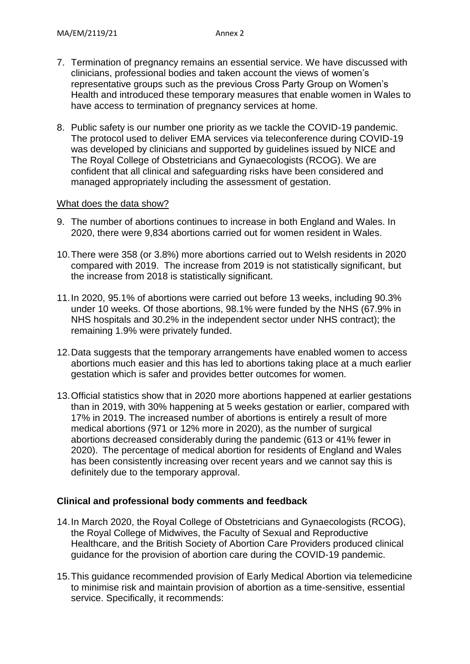- 7. Termination of pregnancy remains an essential service. We have discussed with clinicians, professional bodies and taken account the views of women's representative groups such as the previous Cross Party Group on Women's Health and introduced these temporary measures that enable women in Wales to have access to termination of pregnancy services at home.
- 8. Public safety is our number one priority as we tackle the COVID-19 pandemic. The protocol used to deliver EMA services via teleconference during COVID-19 was developed by clinicians and supported by guidelines issued by NICE and The Royal College of Obstetricians and Gynaecologists (RCOG). We are confident that all clinical and safeguarding risks have been considered and managed appropriately including the assessment of gestation.

#### What does the data show?

- 9. The number of abortions continues to increase in both England and Wales. In 2020, there were 9,834 abortions carried out for women resident in Wales.
- 10.There were 358 (or 3.8%) more abortions carried out to Welsh residents in 2020 compared with 2019. The increase from 2019 is not statistically significant, but the increase from 2018 is statistically significant.
- 11.In 2020, 95.1% of abortions were carried out before 13 weeks, including 90.3% under 10 weeks. Of those abortions, 98.1% were funded by the NHS (67.9% in NHS hospitals and 30.2% in the independent sector under NHS contract); the remaining 1.9% were privately funded.
- 12.Data suggests that the temporary arrangements have enabled women to access abortions much easier and this has led to abortions taking place at a much earlier gestation which is safer and provides better outcomes for women.
- 13.Official statistics show that in 2020 more abortions happened at earlier gestations than in 2019, with 30% happening at 5 weeks gestation or earlier, compared with 17% in 2019. The increased number of abortions is entirely a result of more medical abortions (971 or 12% more in 2020), as the number of surgical abortions decreased considerably during the pandemic (613 or 41% fewer in 2020). The percentage of medical abortion for residents of England and Wales has been consistently increasing over recent years and we cannot say this is definitely due to the temporary approval.

## **Clinical and professional body comments and feedback**

- 14.In March 2020, the Royal College of Obstetricians and Gynaecologists (RCOG), the Royal College of Midwives, the Faculty of Sexual and Reproductive Healthcare, and the British Society of Abortion Care Providers produced clinical guidance for the provision of abortion care during the COVID-19 pandemic.
- 15.This guidance recommended provision of Early Medical Abortion via telemedicine to minimise risk and maintain provision of abortion as a time-sensitive, essential service. Specifically, it recommends: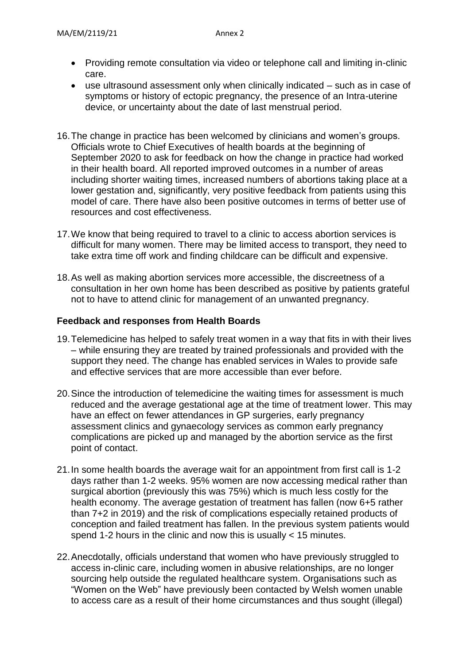- Providing remote consultation via video or telephone call and limiting in-clinic care.
- use ultrasound assessment only when clinically indicated such as in case of symptoms or history of ectopic pregnancy, the presence of an Intra-uterine device, or uncertainty about the date of last menstrual period.
- 16.The change in practice has been welcomed by clinicians and women's groups. Officials wrote to Chief Executives of health boards at the beginning of September 2020 to ask for feedback on how the change in practice had worked in their health board. All reported improved outcomes in a number of areas including shorter waiting times, increased numbers of abortions taking place at a lower gestation and, significantly, very positive feedback from patients using this model of care. There have also been positive outcomes in terms of better use of resources and cost effectiveness.
- 17.We know that being required to travel to a clinic to access abortion services is difficult for many women. There may be limited access to transport, they need to take extra time off work and finding childcare can be difficult and expensive.
- 18.As well as making abortion services more accessible, the discreetness of a consultation in her own home has been described as positive by patients grateful not to have to attend clinic for management of an unwanted pregnancy.

## **Feedback and responses from Health Boards**

- 19.Telemedicine has helped to safely treat women in a way that fits in with their lives – while ensuring they are treated by trained professionals and provided with the support they need. The change has enabled services in Wales to provide safe and effective services that are more accessible than ever before.
- 20.Since the introduction of telemedicine the waiting times for assessment is much reduced and the average gestational age at the time of treatment lower. This may have an effect on fewer attendances in GP surgeries, early pregnancy assessment clinics and gynaecology services as common early pregnancy complications are picked up and managed by the abortion service as the first point of contact.
- 21.In some health boards the average wait for an appointment from first call is 1-2 days rather than 1-2 weeks. 95% women are now accessing medical rather than surgical abortion (previously this was 75%) which is much less costly for the health economy. The average gestation of treatment has fallen (now 6+5 rather than 7+2 in 2019) and the risk of complications especially retained products of conception and failed treatment has fallen. In the previous system patients would spend 1-2 hours in the clinic and now this is usually  $<$  15 minutes.
- 22.Anecdotally, officials understand that women who have previously struggled to access in-clinic care, including women in abusive relationships, are no longer sourcing help outside the regulated healthcare system. Organisations such as "Women on the Web" have previously been contacted by Welsh women unable to access care as a result of their home circumstances and thus sought (illegal)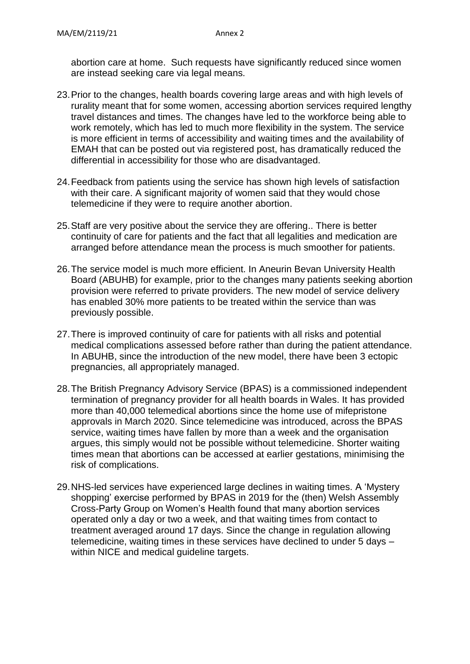abortion care at home. Such requests have significantly reduced since women are instead seeking care via legal means.

- 23.Prior to the changes, health boards covering large areas and with high levels of rurality meant that for some women, accessing abortion services required lengthy travel distances and times. The changes have led to the workforce being able to work remotely, which has led to much more flexibility in the system. The service is more efficient in terms of accessibility and waiting times and the availability of EMAH that can be posted out via registered post, has dramatically reduced the differential in accessibility for those who are disadvantaged.
- 24.Feedback from patients using the service has shown high levels of satisfaction with their care. A significant majority of women said that they would chose telemedicine if they were to require another abortion.
- 25.Staff are very positive about the service they are offering.. There is better continuity of care for patients and the fact that all legalities and medication are arranged before attendance mean the process is much smoother for patients.
- 26.The service model is much more efficient. In Aneurin Bevan University Health Board (ABUHB) for example, prior to the changes many patients seeking abortion provision were referred to private providers. The new model of service delivery has enabled 30% more patients to be treated within the service than was previously possible.
- 27.There is improved continuity of care for patients with all risks and potential medical complications assessed before rather than during the patient attendance. In ABUHB, since the introduction of the new model, there have been 3 ectopic pregnancies, all appropriately managed.
- 28.The British Pregnancy Advisory Service (BPAS) is a commissioned independent termination of pregnancy provider for all health boards in Wales. It has provided more than 40,000 telemedical abortions since the home use of mifepristone approvals in March 2020. Since telemedicine was introduced, across the BPAS service, waiting times have fallen by more than a week and the organisation argues, this simply would not be possible without telemedicine. Shorter waiting times mean that abortions can be accessed at earlier gestations, minimising the risk of complications.
- 29.NHS-led services have experienced large declines in waiting times. A 'Mystery shopping' exercise performed by BPAS in 2019 for the (then) Welsh Assembly Cross-Party Group on Women's Health found that many abortion services operated only a day or two a week, and that waiting times from contact to treatment averaged around 17 days. Since the change in regulation allowing telemedicine, waiting times in these services have declined to under 5 days – within NICE and medical guideline targets.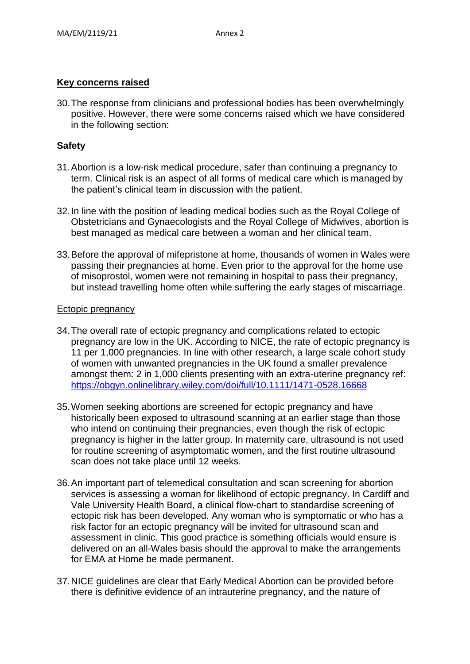## **Key concerns raised**

30.The response from clinicians and professional bodies has been overwhelmingly positive. However, there were some concerns raised which we have considered in the following section:

## **Safety**

- 31.Abortion is a low-risk medical procedure, safer than continuing a pregnancy to term. Clinical risk is an aspect of all forms of medical care which is managed by the patient's clinical team in discussion with the patient.
- 32.In line with the position of leading medical bodies such as the Royal College of Obstetricians and Gynaecologists and the Royal College of Midwives, abortion is best managed as medical care between a woman and her clinical team.
- 33.Before the approval of mifepristone at home, thousands of women in Wales were passing their pregnancies at home. Even prior to the approval for the home use of misoprostol, women were not remaining in hospital to pass their pregnancy, but instead travelling home often while suffering the early stages of miscarriage.

#### Ectopic pregnancy

- 34.The overall rate of ectopic pregnancy and complications related to ectopic pregnancy are low in the UK. According to NICE, the rate of ectopic pregnancy is 11 per 1,000 pregnancies. In line with other research, a large scale cohort study of women with unwanted pregnancies in the UK found a smaller prevalence amongst them: 2 in 1,000 clients presenting with an extra-uterine pregnancy ref: <https://obgyn.onlinelibrary.wiley.com/doi/full/10.1111/1471-0528.16668>
- 35.Women seeking abortions are screened for ectopic pregnancy and have historically been exposed to ultrasound scanning at an earlier stage than those who intend on continuing their pregnancies, even though the risk of ectopic pregnancy is higher in the latter group. In maternity care, ultrasound is not used for routine screening of asymptomatic women, and the first routine ultrasound scan does not take place until 12 weeks.
- 36.An important part of telemedical consultation and scan screening for abortion services is assessing a woman for likelihood of ectopic pregnancy. In Cardiff and Vale University Health Board, a clinical flow-chart to standardise screening of ectopic risk has been developed. Any woman who is symptomatic or who has a risk factor for an ectopic pregnancy will be invited for ultrasound scan and assessment in clinic. This good practice is something officials would ensure is delivered on an all-Wales basis should the approval to make the arrangements for EMA at Home be made permanent.
- 37.NICE guidelines are clear that Early Medical Abortion can be provided before there is definitive evidence of an intrauterine pregnancy, and the nature of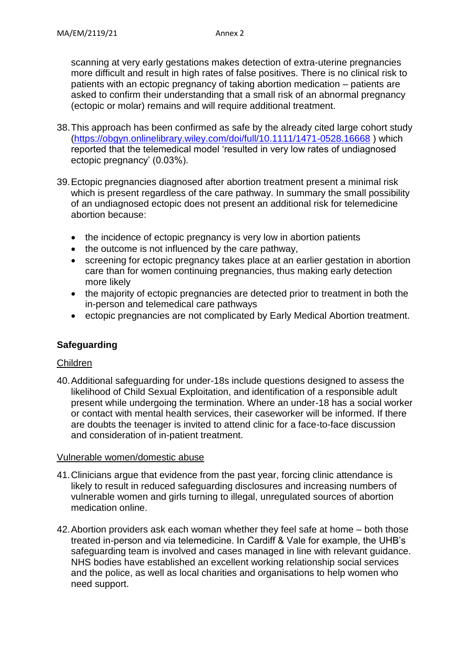scanning at very early gestations makes detection of extra-uterine pregnancies more difficult and result in high rates of false positives. There is no clinical risk to patients with an ectopic pregnancy of taking abortion medication – patients are asked to confirm their understanding that a small risk of an abnormal pregnancy (ectopic or molar) remains and will require additional treatment.

- 38.This approach has been confirmed as safe by the already cited large cohort study [\(https://obgyn.onlinelibrary.wiley.com/doi/full/10.1111/1471-0528.16668](https://obgyn.onlinelibrary.wiley.com/doi/full/10.1111/1471-0528.16668) ) which reported that the telemedical model 'resulted in very low rates of undiagnosed ectopic pregnancy' (0.03%).
- 39.Ectopic pregnancies diagnosed after abortion treatment present a minimal risk which is present regardless of the care pathway. In summary the small possibility of an undiagnosed ectopic does not present an additional risk for telemedicine abortion because:
	- the incidence of ectopic pregnancy is very low in abortion patients
	- $\bullet$  the outcome is not influenced by the care pathway,
	- screening for ectopic pregnancy takes place at an earlier gestation in abortion care than for women continuing pregnancies, thus making early detection more likely
	- the majority of ectopic pregnancies are detected prior to treatment in both the in-person and telemedical care pathways
	- ectopic pregnancies are not complicated by Early Medical Abortion treatment.

# **Safeguarding**

## Children

40.Additional safeguarding for under-18s include questions designed to assess the likelihood of Child Sexual Exploitation, and identification of a responsible adult present while undergoing the termination. Where an under-18 has a social worker or contact with mental health services, their caseworker will be informed. If there are doubts the teenager is invited to attend clinic for a face-to-face discussion and consideration of in-patient treatment.

#### Vulnerable women/domestic abuse

- 41.Clinicians argue that evidence from the past year, forcing clinic attendance is likely to result in reduced safeguarding disclosures and increasing numbers of vulnerable women and girls turning to illegal, unregulated sources of abortion medication online.
- 42.Abortion providers ask each woman whether they feel safe at home both those treated in-person and via telemedicine. In Cardiff & Vale for example, the UHB's safeguarding team is involved and cases managed in line with relevant guidance. NHS bodies have established an excellent working relationship social services and the police, as well as local charities and organisations to help women who need support.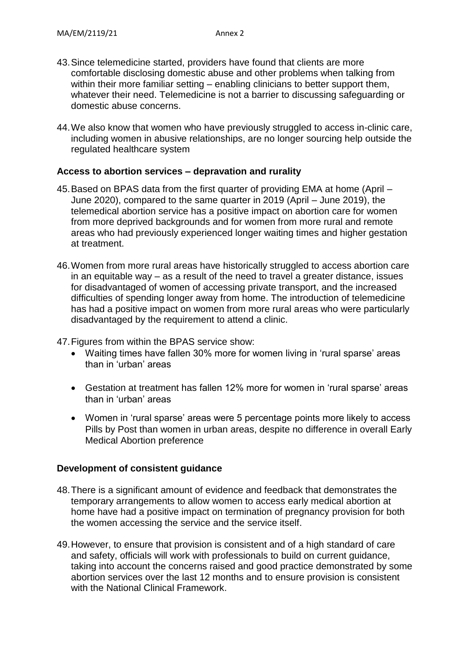- 43.Since telemedicine started, providers have found that clients are more comfortable disclosing domestic abuse and other problems when talking from within their more familiar setting – enabling clinicians to better support them, whatever their need. Telemedicine is not a barrier to discussing safeguarding or domestic abuse concerns.
- 44.We also know that women who have previously struggled to access in-clinic care, including women in abusive relationships, are no longer sourcing help outside the regulated healthcare system

## **Access to abortion services – depravation and rurality**

- 45.Based on BPAS data from the first quarter of providing EMA at home (April June 2020), compared to the same quarter in 2019 (April – June 2019), the telemedical abortion service has a positive impact on abortion care for women from more deprived backgrounds and for women from more rural and remote areas who had previously experienced longer waiting times and higher gestation at treatment.
- 46.Women from more rural areas have historically struggled to access abortion care in an equitable way – as a result of the need to travel a greater distance, issues for disadvantaged of women of accessing private transport, and the increased difficulties of spending longer away from home. The introduction of telemedicine has had a positive impact on women from more rural areas who were particularly disadvantaged by the requirement to attend a clinic.

47.Figures from within the BPAS service show:

- Waiting times have fallen 30% more for women living in 'rural sparse' areas than in 'urban' areas
- Gestation at treatment has fallen 12% more for women in 'rural sparse' areas than in 'urban' areas
- Women in 'rural sparse' areas were 5 percentage points more likely to access Pills by Post than women in urban areas, despite no difference in overall Early Medical Abortion preference

## **Development of consistent guidance**

- 48.There is a significant amount of evidence and feedback that demonstrates the temporary arrangements to allow women to access early medical abortion at home have had a positive impact on termination of pregnancy provision for both the women accessing the service and the service itself.
- 49.However, to ensure that provision is consistent and of a high standard of care and safety, officials will work with professionals to build on current guidance, taking into account the concerns raised and good practice demonstrated by some abortion services over the last 12 months and to ensure provision is consistent with the National Clinical Framework.